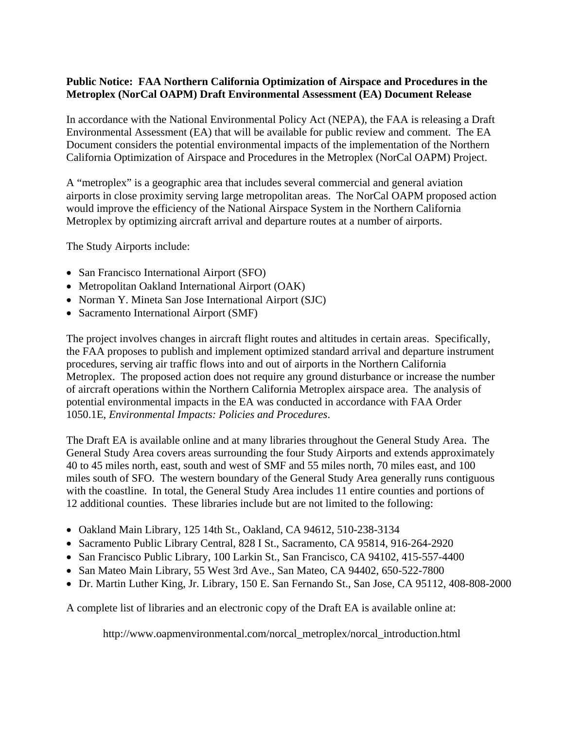## **Public Notice: FAA Northern California Optimization of Airspace and Procedures in the Metroplex (NorCal OAPM) Draft Environmental Assessment (EA) Document Release**

In accordance with the National Environmental Policy Act (NEPA), the FAA is releasing a Draft Environmental Assessment (EA) that will be available for public review and comment. The EA Document considers the potential environmental impacts of the implementation of the Northern California Optimization of Airspace and Procedures in the Metroplex (NorCal OAPM) Project.

A "metroplex" is a geographic area that includes several commercial and general aviation airports in close proximity serving large metropolitan areas. The NorCal OAPM proposed action would improve the efficiency of the National Airspace System in the Northern California Metroplex by optimizing aircraft arrival and departure routes at a number of airports.

The Study Airports include:

- San Francisco International Airport (SFO)
- Metropolitan Oakland International Airport (OAK)
- Norman Y. Mineta San Jose International Airport (SJC)
- Sacramento International Airport (SMF)

The project involves changes in aircraft flight routes and altitudes in certain areas. Specifically, the FAA proposes to publish and implement optimized standard arrival and departure instrument procedures, serving air traffic flows into and out of airports in the Northern California Metroplex. The proposed action does not require any ground disturbance or increase the number of aircraft operations within the Northern California Metroplex airspace area. The analysis of potential environmental impacts in the EA was conducted in accordance with FAA Order 1050.1E, *Environmental Impacts: Policies and Procedures*.

The Draft EA is available online and at many libraries throughout the General Study Area. The General Study Area covers areas surrounding the four Study Airports and extends approximately 40 to 45 miles north, east, south and west of SMF and 55 miles north, 70 miles east, and 100 miles south of SFO. The western boundary of the General Study Area generally runs contiguous with the coastline. In total, the General Study Area includes 11 entire counties and portions of 12 additional counties. These libraries include but are not limited to the following:

- Oakland Main Library, 125 14th St., Oakland, CA 94612, 510-238-3134
- Sacramento Public Library Central, 828 I St., Sacramento, CA 95814, 916-264-2920
- San Francisco Public Library, 100 Larkin St., San Francisco, CA 94102, 415-557-4400
- San Mateo Main Library, 55 West 3rd Ave., San Mateo, CA 94402, 650-522-7800
- Dr. Martin Luther King, Jr. Library, 150 E. San Fernando St., San Jose, CA 95112, 408-808-2000

A complete list of libraries and an electronic copy of the Draft EA is available online at:

http://www.oapmenvironmental.com/norcal\_metroplex/norcal\_introduction.html